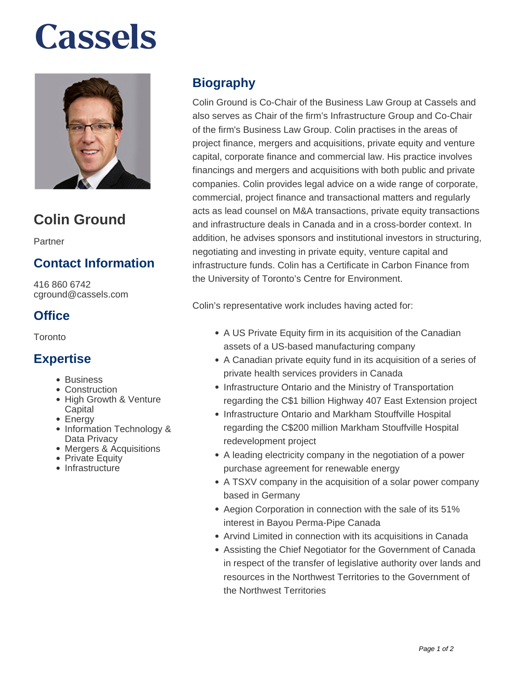# **Cassels**



# **Colin Ground**

Partner

## **Contact Information**

416 860 6742 cground@cassels.com

## **Office**

Toronto

### **Expertise**

- Business
- Construction
- High Growth & Venture **Capital**
- Energy
- Information Technology & Data Privacy
- Mergers & Acquisitions
- Private Equity
- Infrastructure

# **Biography**

Colin Ground is Co-Chair of the Business Law Group at Cassels and also serves as Chair of the firm's Infrastructure Group and Co-Chair of the firm's Business Law Group. Colin practises in the areas of project finance, mergers and acquisitions, private equity and venture capital, corporate finance and commercial law. His practice involves financings and mergers and acquisitions with both public and private companies. Colin provides legal advice on a wide range of corporate, commercial, project finance and transactional matters and regularly acts as lead counsel on M&A transactions, private equity transactions and infrastructure deals in Canada and in a cross-border context. In addition, he advises sponsors and institutional investors in structuring, negotiating and investing in private equity, venture capital and infrastructure funds. Colin has a Certificate in Carbon Finance from the University of Toronto's Centre for Environment.

Colin's representative work includes having acted for:

- A US Private Equity firm in its acquisition of the Canadian assets of a US-based manufacturing company
- A Canadian private equity fund in its acquisition of a series of private health services providers in Canada
- Infrastructure Ontario and the Ministry of Transportation regarding the C\$1 billion Highway 407 East Extension project
- Infrastructure Ontario and Markham Stouffville Hospital regarding the C\$200 million Markham Stouffville Hospital redevelopment project
- A leading electricity company in the negotiation of a power purchase agreement for renewable energy
- A TSXV company in the acquisition of a solar power company based in Germany
- Aegion Corporation in connection with the sale of its 51% interest in Bayou Perma-Pipe Canada
- Arvind Limited in connection with its acquisitions in Canada
- Assisting the Chief Negotiator for the Government of Canada in respect of the transfer of legislative authority over lands and resources in the Northwest Territories to the Government of the Northwest Territories